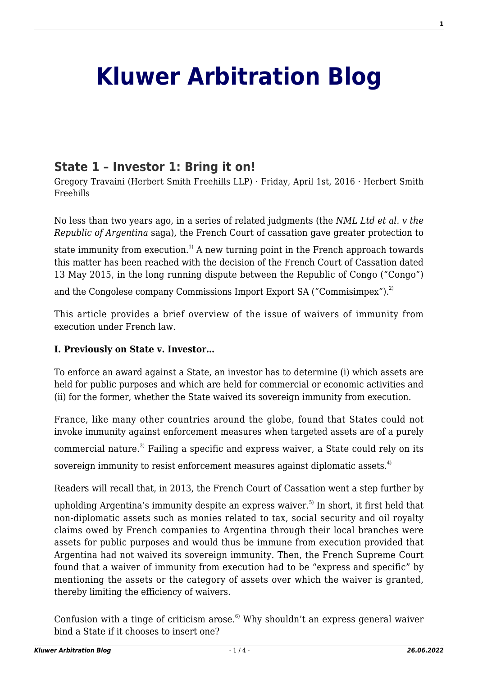# **[Kluwer Arbitration Blog](http://arbitrationblog.kluwerarbitration.com/)**

# **[State 1 – Investor 1: Bring it on!](http://arbitrationblog.kluwerarbitration.com/2016/04/01/state-1-investor-1-bring-it-on/)**

Gregory Travaini (Herbert Smith Freehills LLP) · Friday, April 1st, 2016 · Herbert Smith Freehills

No less than two years ago, in a series of related judgments (the *NML Ltd et al. v the Republic of Argentina* saga), the French Court of cassation gave greater protection to

state immunity from execution.<sup>1)</sup> A new turning point in the French approach towards this matter has been reached with the decision of the French Court of Cassation dated 13 May 2015, in the long running dispute between the Republic of Congo ("Congo")

and the Congolese company Commissions Import Export SA ("Commisimpex").<sup>2)</sup>

This article provides a brief overview of the issue of waivers of immunity from execution under French law.

## **I. Previously on State v. Investor…**

To enforce an award against a State, an investor has to determine (i) which assets are held for public purposes and which are held for commercial or economic activities and (ii) for the former, whether the State waived its sovereign immunity from execution.

France, like many other countries around the globe, found that States could not invoke immunity against enforcement measures when targeted assets are of a purely commercial nature.<sup>3)</sup> Failing a specific and express waiver, a State could rely on its sovereign immunity to resist enforcement measures against diplomatic assets.<sup>4)</sup>

Readers will recall that, in 2013, the French Court of Cassation went a step further by upholding Argentina's immunity despite an express waiver.<sup>5)</sup> In short, it first held that non-diplomatic assets such as monies related to tax, social security and oil royalty claims owed by French companies to Argentina through their local branches were assets for public purposes and would thus be immune from execution provided that Argentina had not waived its sovereign immunity. Then, the French Supreme Court found that a waiver of immunity from execution had to be "express and specific" by mentioning the assets or the category of assets over which the waiver is granted, thereby limiting the efficiency of waivers.

Confusion with a tinge of criticism arose. $6$  Why shouldn't an express general waiver bind a State if it chooses to insert one?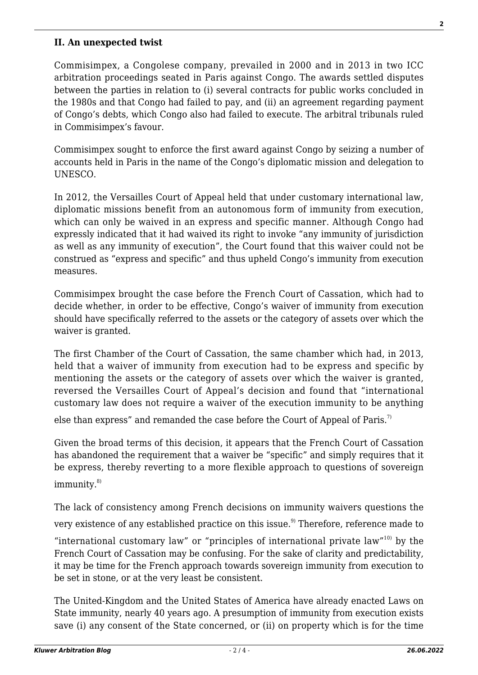#### **II. An unexpected twist**

Commisimpex, a Congolese company, prevailed in 2000 and in 2013 in two ICC arbitration proceedings seated in Paris against Congo. The awards settled disputes between the parties in relation to (i) several contracts for public works concluded in the 1980s and that Congo had failed to pay, and (ii) an agreement regarding payment of Congo's debts, which Congo also had failed to execute. The arbitral tribunals ruled in Commisimpex's favour.

Commisimpex sought to enforce the first award against Congo by seizing a number of accounts held in Paris in the name of the Congo's diplomatic mission and delegation to UNESCO.

In 2012, the Versailles Court of Appeal held that under customary international law, diplomatic missions benefit from an autonomous form of immunity from execution, which can only be waived in an express and specific manner. Although Congo had expressly indicated that it had waived its right to invoke "any immunity of jurisdiction as well as any immunity of execution", the Court found that this waiver could not be construed as "express and specific" and thus upheld Congo's immunity from execution measures.

Commisimpex brought the case before the French Court of Cassation, which had to decide whether, in order to be effective, Congo's waiver of immunity from execution should have specifically referred to the assets or the category of assets over which the waiver is granted.

The first Chamber of the Court of Cassation, the same chamber which had, in 2013, held that a waiver of immunity from execution had to be express and specific by mentioning the assets or the category of assets over which the waiver is granted, reversed the Versailles Court of Appeal's decision and found that "international customary law does not require a waiver of the execution immunity to be anything

else than express" and remanded the case before the Court of Appeal of Paris.<sup>7)</sup>

Given the broad terms of this decision, it appears that the French Court of Cassation has abandoned the requirement that a waiver be "specific" and simply requires that it be express, thereby reverting to a more flexible approach to questions of sovereign  $immunity.<sup>8</sup>$ 

The lack of consistency among French decisions on immunity waivers questions the very existence of any established practice on this issue.<sup>9)</sup> Therefore, reference made to

"international customary law" or "principles of international private law" $10$ ) by the French Court of Cassation may be confusing. For the sake of clarity and predictability, it may be time for the French approach towards sovereign immunity from execution to be set in stone, or at the very least be consistent.

The United-Kingdom and the United States of America have already enacted Laws on State immunity, nearly 40 years ago. A presumption of immunity from execution exists save (i) any consent of the State concerned, or (ii) on property which is for the time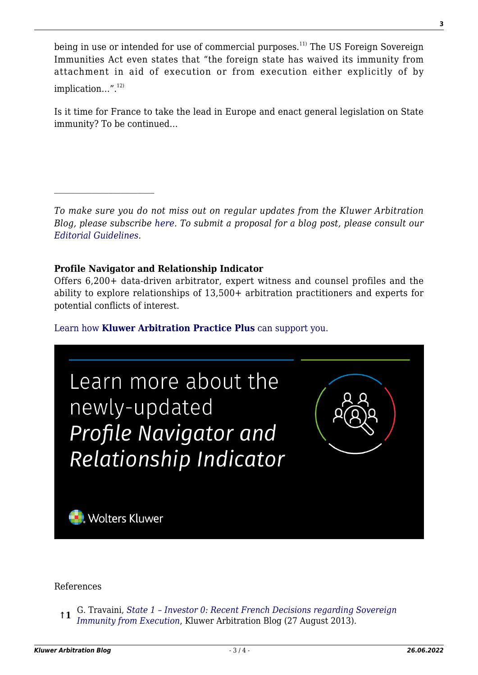being in use or intended for use of commercial purposes.<sup>11)</sup> The US Foreign Sovereign Immunities Act even states that "the foreign state has waived its immunity from attachment in aid of execution or from execution either explicitly of by  $\text{implication}...".^{12)}$ 

Is it time for France to take the lead in Europe and enact general legislation on State immunity? To be continued…

*To make sure you do not miss out on regular updates from the Kluwer Arbitration Blog, please subscribe [here](http://arbitrationblog.kluwerarbitration.com/newsletter/). To submit a proposal for a blog post, please consult our [Editorial Guidelines.](http://arbitrationblog.kluwerarbitration.com/editorial-guidelines/)*

# **Profile Navigator and Relationship Indicator**

 $\mathcal{L}_\text{max}$ 

Offers 6,200+ data-driven arbitrator, expert witness and counsel profiles and the ability to explore relationships of 13,500+ arbitration practitioners and experts for potential conflicts of interest.

[Learn how](https://www.wolterskluwer.com/en/solutions/kluwerarbitration/practiceplus?utm_source=arbitrationblog&utm_medium=articleCTA&utm_campaign=article-banner) **[Kluwer Arbitration Practice Plus](https://www.wolterskluwer.com/en/solutions/kluwerarbitration/practiceplus?utm_source=arbitrationblog&utm_medium=articleCTA&utm_campaign=article-banner)** [can support you.](https://www.wolterskluwer.com/en/solutions/kluwerarbitration/practiceplus?utm_source=arbitrationblog&utm_medium=articleCTA&utm_campaign=article-banner)



## References

**↑1** G. Travaini, *[State 1 – Investor 0: Recent French Decisions regarding Sovereign](http://kluwerarbitrationblog.com/2013/08/27/state-1-investor-0-recent-french-decisions-regarding-sovereign-immunity-from-execution/) [Immunity from Execution](http://kluwerarbitrationblog.com/2013/08/27/state-1-investor-0-recent-french-decisions-regarding-sovereign-immunity-from-execution/)*, Kluwer Arbitration Blog (27 August 2013).